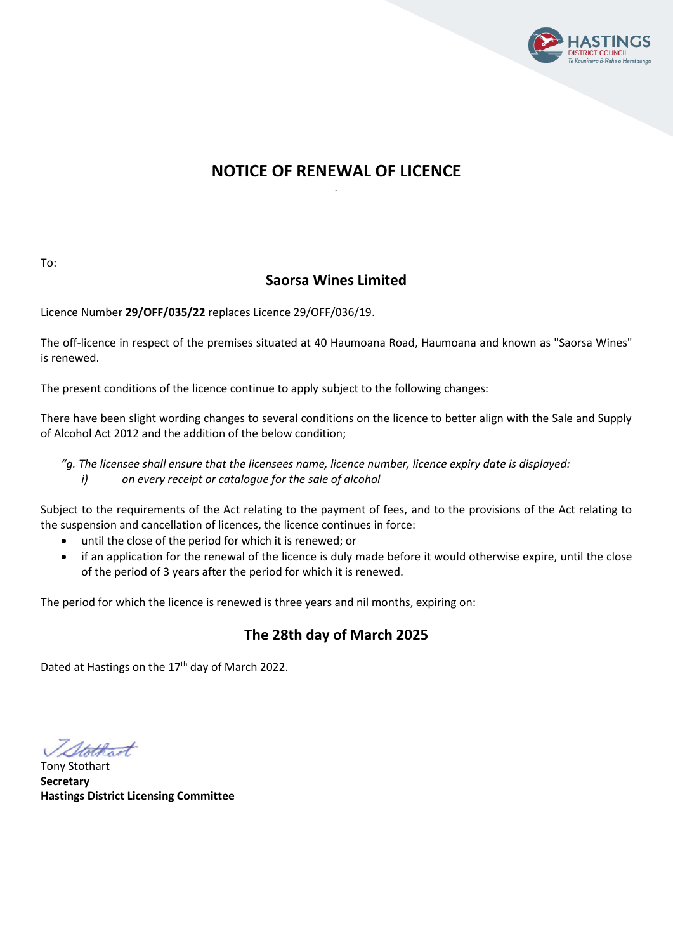

## **NOTICE OF RENEWAL OF LICENCE** *.*

To:

# **Saorsa Wines Limited**

Licence Number **29/OFF/035/22** replaces Licence 29/OFF/036/19.

The off-licence in respect of the premises situated at 40 Haumoana Road, Haumoana and known as "Saorsa Wines" is renewed.

The present conditions of the licence continue to apply subject to the following changes:

There have been slight wording changes to several conditions on the licence to better align with the Sale and Supply of Alcohol Act 2012 and the addition of the below condition;

*"g. The licensee shall ensure that the licensees name, licence number, licence expiry date is displayed: i) on every receipt or catalogue for the sale of alcohol*

Subject to the requirements of the Act relating to the payment of fees, and to the provisions of the Act relating to the suspension and cancellation of licences, the licence continues in force:

- until the close of the period for which it is renewed; or
- if an application for the renewal of the licence is duly made before it would otherwise expire, until the close of the period of 3 years after the period for which it is renewed.

The period for which the licence is renewed is three years and nil months, expiring on:

# **The 28th day of March 2025**

Dated at Hastings on the 17<sup>th</sup> day of March 2022.

Stothart

Tony Stothart **Secretary Hastings District Licensing Committee**